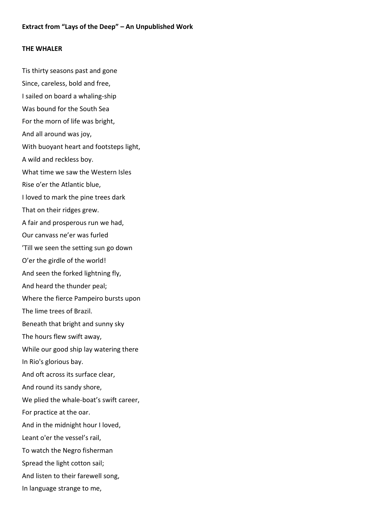## **THE WHALER**

Tis thirty seasons past and gone Since, careless, bold and free, I sailed on board a whaling-ship Was bound for the South Sea For the morn of life was bright, And all around was joy, With buoyant heart and footsteps light, A wild and reckless boy. What time we saw the Western Isles Rise o'er the Atlantic blue, I loved to mark the pine trees dark That on their ridges grew. A fair and prosperous run we had, Our canvass ne'er was furled 'Till we seen the setting sun go down O'er the girdle of the world! And seen the forked lightning fly, And heard the thunder peal; Where the fierce Pampeiro bursts upon The lime trees of Brazil. Beneath that bright and sunny sky The hours flew swift away, While our good ship lay watering there In Rio's glorious bay. And oft across its surface clear, And round its sandy shore, We plied the whale-boat's swift career, For practice at the oar. And in the midnight hour I loved, Leant o'er the vessel's rail, To watch the Negro fisherman Spread the light cotton sail; And listen to their farewell song, In language strange to me,